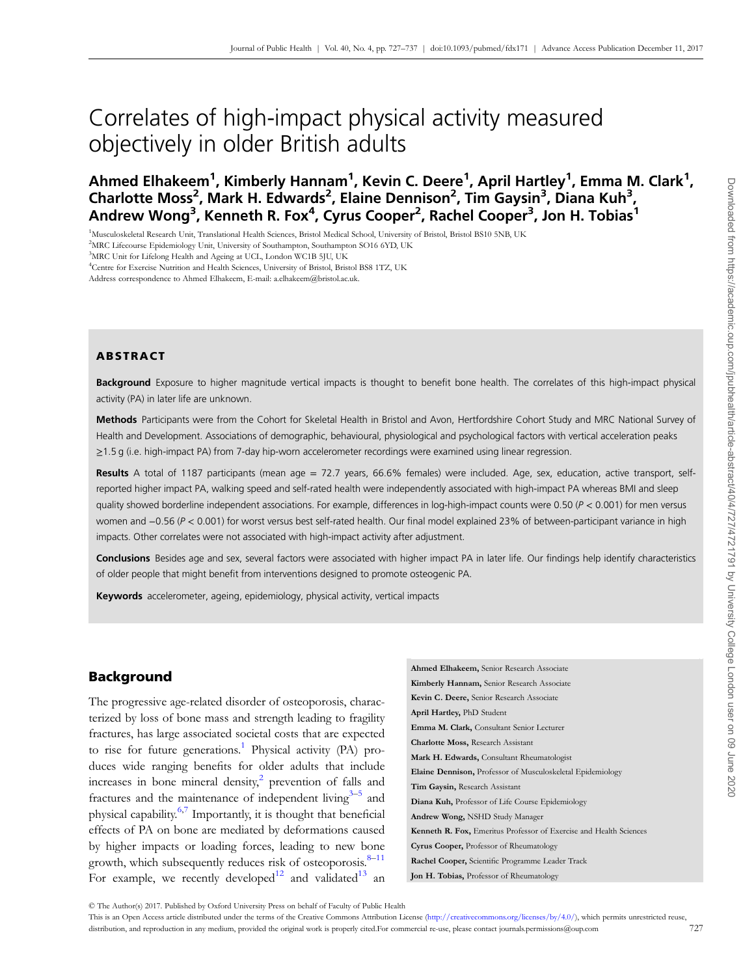# Correlates of high-impact physical activity measured objectively in older British adults

Ahmed Elhakeem<sup>1</sup>, Kimberly Hannam<sup>1</sup>, Kevin C. Deere<sup>1</sup>, April Hartley<sup>1</sup>, Emma M. Clark<sup>1</sup>, Charlotte Moss<sup>2</sup>, Mark H. Edwards<sup>2</sup>, Elaine Dennison<sup>2</sup>, Tim Gaysin<sup>3</sup>, Diana Kuh<sup>3</sup>, Andrew Wong<sup>3</sup>, Kenneth R. Fox<sup>4</sup>, Cyrus Cooper<sup>2</sup>, Rachel Cooper<sup>3</sup>, Jon H. Tobias<sup>1</sup>

<sup>1</sup>Musculoskeletal Research Unit, Translational Health Sciences, Bristol Medical School, University of Bristol, Bristol BS10 5NB, UK

<sup>2</sup>MRC Lifecourse Epidemiology Unit, University of Southampton, Southampton SO16 6YD, UK

4 Centre for Exercise Nutrition and Health Sciences, University of Bristol, Bristol BS8 1TZ, UK

Address correspondence to Ahmed Elhakeem, E-mail: a.elhakeem@bristol.ac.uk.

## ABSTRACT

Background Exposure to higher magnitude vertical impacts is thought to benefit bone health. The correlates of this high-impact physical activity (PA) in later life are unknown.

Methods Participants were from the Cohort for Skeletal Health in Bristol and Avon, Hertfordshire Cohort Study and MRC National Survey of Health and Development. Associations of demographic, behavioural, physiological and psychological factors with vertical acceleration peaks ≥1.5 g (i.e. high-impact PA) from 7-day hip-worn accelerometer recordings were examined using linear regression.

Results A total of 1187 participants (mean age = 72.7 years, 66.6% females) were included. Age, sex, education, active transport, selfreported higher impact PA, walking speed and self-rated health were independently associated with high-impact PA whereas BMI and sleep quality showed borderline independent associations. For example, differences in log-high-impact counts were  $0.50$  ( $P < 0.001$ ) for men versus women and −0.56 (P < 0.001) for worst versus best self-rated health. Our final model explained 23% of between-participant variance in high impacts. Other correlates were not associated with high-impact activity after adjustment.

Conclusions Besides age and sex, several factors were associated with higher impact PA in later life. Our findings help identify characteristics of older people that might benefit from interventions designed to promote osteogenic PA.

Keywords accelerometer, ageing, epidemiology, physical activity, vertical impacts

## Background

The progressive age-related disorder of osteoporosis, characterized by loss of bone mass and strength leading to fragility fractures, has large associated societal costs that are expected to rise for future generations.<sup>1</sup> Physical activity  $(PA)$  produces wide ranging benefits for older adults that include increases in bone mineral density, $\epsilon^2$  $\epsilon^2$  prevention of falls and fractures and the maintenance of independent living $3-5$  $3-5$  $3-5$  and physical capability.[6,7](#page-9-0) Importantly, it is thought that beneficial effects of PA on bone are mediated by deformations caused by higher impacts or loading forces, leading to new bone growth, which subsequently reduces risk of osteoporosis. $8-11$  $8-11$ For example, we recently developed<sup>[12](#page-9-0)</sup> and validated<sup>13</sup> an

<sup>©</sup> The Author(s) 2017. Published by Oxford University Press on behalf of Faculty of Public Health

<sup>3</sup> MRC Unit for Lifelong Health and Ageing at UCL, London WC1B 5JU, UK

This is an Open Access article distributed under the terms of the Creative Commons Attribution License [\(http://creativecommons.org/licenses/by/4.0/\)](http://creativecommons.org/licenses/by/4.0/), which permits unrestricted reuse, distribution, and reproduction in any medium, provided the original work is properly cited.For commercial re-use, please contact journals.permissions@oup.com 727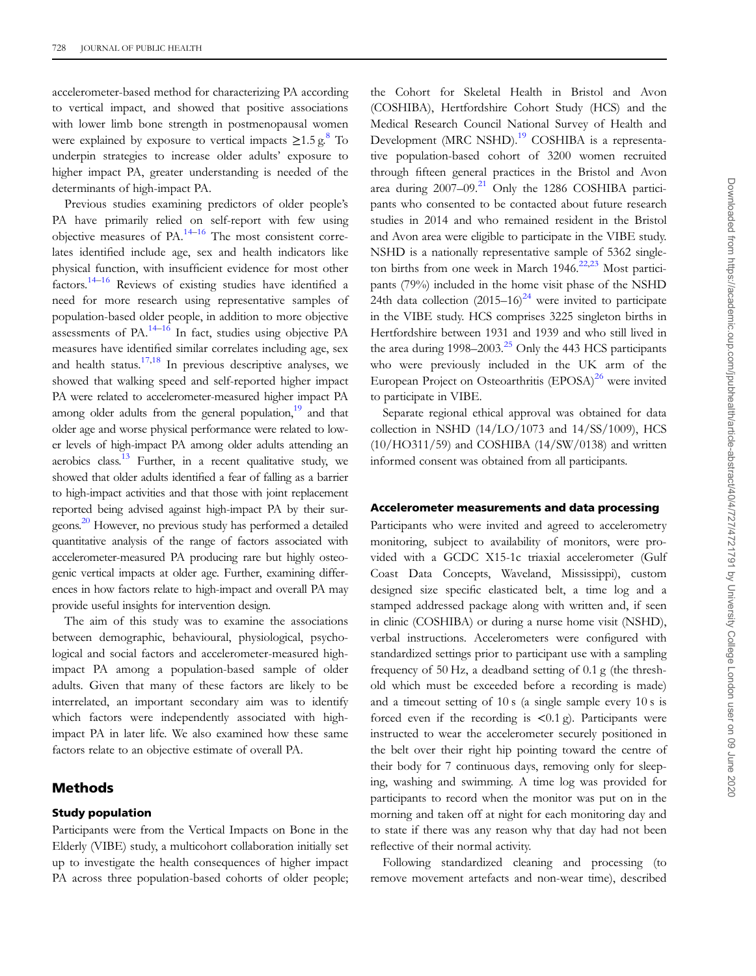accelerometer-based method for characterizing PA according to vertical impact, and showed that positive associations with lower limb bone strength in postmenopausal women were explained by exposure to vertical impacts  $\geq 1.5$  g.<sup>[8](#page-9-0)</sup> To underpin strategies to increase older adults' exposure to higher impact PA, greater understanding is needed of the determinants of high-impact PA.

Previous studies examining predictors of older people's PA have primarily relied on self-report with few using objective measures of  $PA$ .<sup>[14](#page-10-0)–[16](#page-10-0)</sup> The most consistent correlates identified include age, sex and health indicators like physical function, with insufficient evidence for most other factors. $14-16$  $14-16$  $14-16$  Reviews of existing studies have identified a need for more research using representative samples of population-based older people, in addition to more objective assessments of PA.<sup>[14](#page-10-0)–[16](#page-10-0)</sup> In fact, studies using objective PA measures have identified similar correlates including age, sex and health status.<sup>17,18</sup> In previous descriptive analyses, we showed that walking speed and self-reported higher impact PA were related to accelerometer-measured higher impact PA among older adults from the general population, $19$  and that older age and worse physical performance were related to lower levels of high-impact PA among older adults attending an aerobics class.<sup>13</sup> Further, in a recent qualitative study, we showed that older adults identified a fear of falling as a barrier to high-impact activities and that those with joint replacement reported being advised against high-impact PA by their surgeons.<sup>20</sup> However, no previous study has performed a detailed quantitative analysis of the range of factors associated with accelerometer-measured PA producing rare but highly osteogenic vertical impacts at older age. Further, examining differences in how factors relate to high-impact and overall PA may provide useful insights for intervention design.

The aim of this study was to examine the associations between demographic, behavioural, physiological, psychological and social factors and accelerometer-measured highimpact PA among a population-based sample of older adults. Given that many of these factors are likely to be interrelated, an important secondary aim was to identify which factors were independently associated with highimpact PA in later life. We also examined how these same factors relate to an objective estimate of overall PA.

## Methods

#### Study population

Participants were from the Vertical Impacts on Bone in the Elderly (VIBE) study, a multicohort collaboration initially set up to investigate the health consequences of higher impact PA across three population-based cohorts of older people;

the Cohort for Skeletal Health in Bristol and Avon (COSHIBA), Hertfordshire Cohort Study (HCS) and the Medical Research Council National Survey of Health and Development (MRC NSHD).<sup>19</sup> COSHIBA is a representative population-based cohort of 3200 women recruited through fifteen general practices in the Bristol and Avon area during  $2007-09$ .<sup>[21](#page-10-0)</sup> Only the 1286 COSHIBA participants who consented to be contacted about future research studies in 2014 and who remained resident in the Bristol and Avon area were eligible to participate in the VIBE study. NSHD is a nationally representative sample of 5362 singleton births from one week in March  $1946$ <sup>[22,23](#page-10-0)</sup> Most participants (79%) included in the home visit phase of the NSHD 24th data collection  $(2015-16)^{24}$  were invited to participate in the VIBE study. HCS comprises 3225 singleton births in Hertfordshire between 1931 and 1939 and who still lived in the area during  $1998-2003<sup>25</sup>$  $1998-2003<sup>25</sup>$  $1998-2003<sup>25</sup>$  Only the 443 HCS participants who were previously included in the UK arm of the European Project on Osteoarthritis (EPOSA)<sup>[26](#page-10-0)</sup> were invited to participate in VIBE.

Separate regional ethical approval was obtained for data collection in NSHD (14/LO/1073 and 14/SS/1009), HCS  $(10/HO311/59)$  and COSHIBA  $(14/SW/0138)$  and written informed consent was obtained from all participants.

#### Accelerometer measurements and data processing

Participants who were invited and agreed to accelerometry monitoring, subject to availability of monitors, were provided with a GCDC X15-1c triaxial accelerometer (Gulf Coast Data Concepts, Waveland, Mississippi), custom designed size specific elasticated belt, a time log and a stamped addressed package along with written and, if seen in clinic (COSHIBA) or during a nurse home visit (NSHD), verbal instructions. Accelerometers were configured with standardized settings prior to participant use with a sampling frequency of 50 Hz, a deadband setting of 0.1 g (the threshold which must be exceeded before a recording is made) and a timeout setting of 10 s (a single sample every 10 s is forced even if the recording is  $\langle 0.1 \rangle$ . Participants were instructed to wear the accelerometer securely positioned in the belt over their right hip pointing toward the centre of their body for 7 continuous days, removing only for sleeping, washing and swimming. A time log was provided for participants to record when the monitor was put on in the morning and taken off at night for each monitoring day and to state if there was any reason why that day had not been reflective of their normal activity.

Following standardized cleaning and processing (to remove movement artefacts and non-wear time), described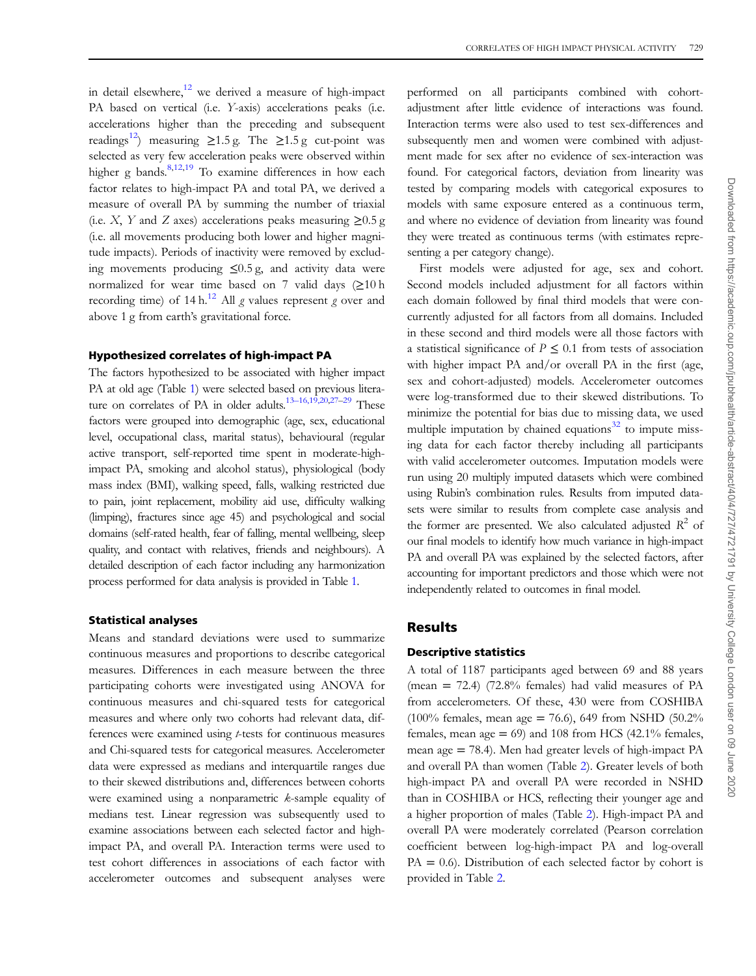in detail elsewhere, $12$  we derived a measure of high-impact PA based on vertical (i.e. Y-axis) accelerations peaks (i.e. accelerations higher than the preceding and subsequent readings<sup>12</sup>) measuring  $\geq$ 1.5 g. The  $\geq$ 1.5 g cut-point was selected as very few acceleration peaks were observed within higher g bands. $8,12,19$  $8,12,19$  $8,12,19$  To examine differences in how each factor relates to high-impact PA and total PA, we derived a measure of overall PA by summing the number of triaxial (i.e. X, Y and Z axes) accelerations peaks measuring  $\geq 0.5$  g (i.e. all movements producing both lower and higher magnitude impacts). Periods of inactivity were removed by excluding movements producing ≤0.5 g, and activity data were normalized for wear time based on 7 valid days  $(≥10 h$ recording time) of 14 h.<sup>[12](#page-9-0)</sup> All g values represent g over and above 1 g from earth's gravitational force.

## Hypothesized correlates of high-impact PA

The factors hypothesized to be associated with higher impact PA at old age (Table [1](#page-3-0)) were selected based on previous litera-ture on correlates of PA in older adults.<sup>13–[16,19,20](#page-9-0)[,27](#page-10-0)–[29](#page-10-0)</sup> These factors were grouped into demographic (age, sex, educational level, occupational class, marital status), behavioural (regular active transport, self-reported time spent in moderate-highimpact PA, smoking and alcohol status), physiological (body mass index (BMI), walking speed, falls, walking restricted due to pain, joint replacement, mobility aid use, difficulty walking (limping), fractures since age 45) and psychological and social domains (self-rated health, fear of falling, mental wellbeing, sleep quality, and contact with relatives, friends and neighbours). A detailed description of each factor including any harmonization process performed for data analysis is provided in Table [1](#page-3-0).

## Statistical analyses

Means and standard deviations were used to summarize continuous measures and proportions to describe categorical measures. Differences in each measure between the three participating cohorts were investigated using ANOVA for continuous measures and chi-squared tests for categorical measures and where only two cohorts had relevant data, differences were examined using t-tests for continuous measures and Chi-squared tests for categorical measures. Accelerometer data were expressed as medians and interquartile ranges due to their skewed distributions and, differences between cohorts were examined using a nonparametric k-sample equality of medians test. Linear regression was subsequently used to examine associations between each selected factor and highimpact PA, and overall PA. Interaction terms were used to test cohort differences in associations of each factor with accelerometer outcomes and subsequent analyses were

performed on all participants combined with cohortadjustment after little evidence of interactions was found. Interaction terms were also used to test sex-differences and subsequently men and women were combined with adjustment made for sex after no evidence of sex-interaction was found. For categorical factors, deviation from linearity was tested by comparing models with categorical exposures to models with same exposure entered as a continuous term, and where no evidence of deviation from linearity was found they were treated as continuous terms (with estimates representing a per category change).

First models were adjusted for age, sex and cohort. Second models included adjustment for all factors within each domain followed by final third models that were concurrently adjusted for all factors from all domains. Included in these second and third models were all those factors with a statistical significance of  $P \leq 0.1$  from tests of association with higher impact PA and/or overall PA in the first (age, sex and cohort-adjusted) models. Accelerometer outcomes were log-transformed due to their skewed distributions. To minimize the potential for bias due to missing data, we used multiple imputation by chained equations $32$  to impute missing data for each factor thereby including all participants with valid accelerometer outcomes. Imputation models were run using 20 multiply imputed datasets which were combined using Rubin's combination rules. Results from imputed datasets were similar to results from complete case analysis and the former are presented. We also calculated adjusted  $R^2$  of our final models to identify how much variance in high-impact PA and overall PA was explained by the selected factors, after accounting for important predictors and those which were not independently related to outcomes in final model.

## **Results**

## Descriptive statistics

A total of 1187 participants aged between 69 and 88 years (mean  $= 72.4$ ) (72.8% females) had valid measures of PA from accelerometers. Of these, 430 were from COSHIBA (100% females, mean age = 76.6), 649 from NSHD (50.2%) females, mean age  $= 69$ ) and 108 from HCS (42.1% females, mean age = 78.4). Men had greater levels of high-impact PA and overall PA than women (Table [2](#page-5-0)). Greater levels of both high-impact PA and overall PA were recorded in NSHD than in COSHIBA or HCS, reflecting their younger age and a higher proportion of males (Table [2\)](#page-5-0). High-impact PA and overall PA were moderately correlated (Pearson correlation coefficient between log-high-impact PA and log-overall  $PA = 0.6$ ). Distribution of each selected factor by cohort is provided in Table [2](#page-5-0).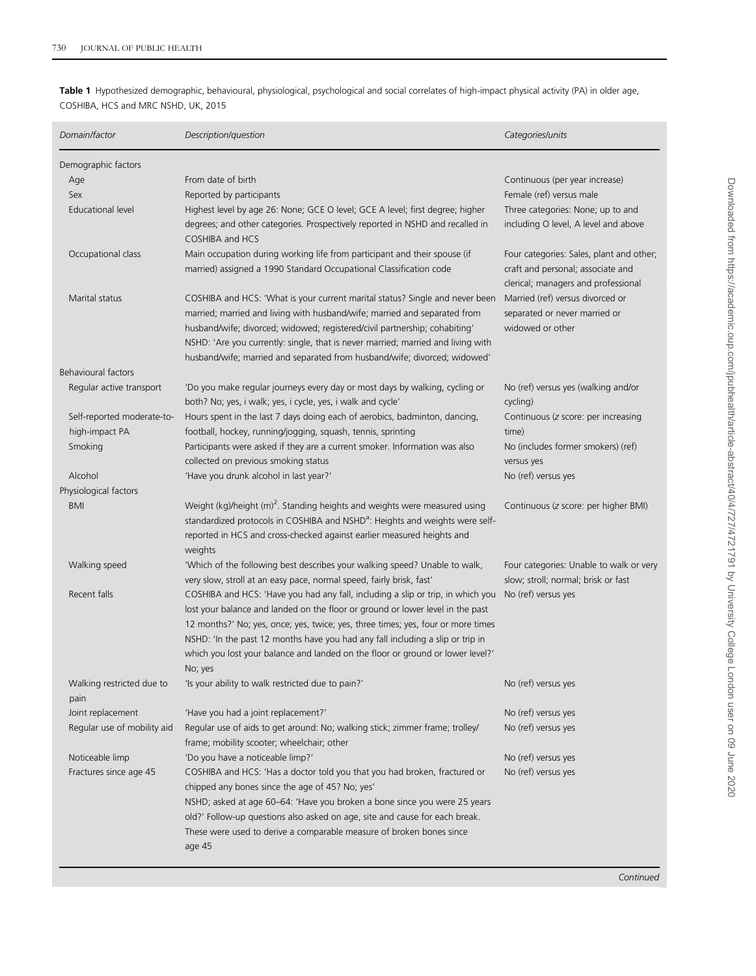<span id="page-3-0"></span>Table 1 Hypothesized demographic, behavioural, physiological, psychological and social correlates of high-impact physical activity (PA) in older age, COSHIBA, HCS and MRC NSHD, UK, 2015

| Domain/factor               | Description/question                                                                                                                                                                                                                                                                                                                                                                                                                 | Categories/units                                                                                                     |
|-----------------------------|--------------------------------------------------------------------------------------------------------------------------------------------------------------------------------------------------------------------------------------------------------------------------------------------------------------------------------------------------------------------------------------------------------------------------------------|----------------------------------------------------------------------------------------------------------------------|
| Demographic factors         |                                                                                                                                                                                                                                                                                                                                                                                                                                      |                                                                                                                      |
| Age                         | From date of birth                                                                                                                                                                                                                                                                                                                                                                                                                   | Continuous (per year increase)                                                                                       |
| Sex                         | Reported by participants                                                                                                                                                                                                                                                                                                                                                                                                             | Female (ref) versus male                                                                                             |
| Educational level           | Highest level by age 26: None; GCE O level; GCE A level; first degree; higher                                                                                                                                                                                                                                                                                                                                                        | Three categories: None; up to and                                                                                    |
|                             | degrees; and other categories. Prospectively reported in NSHD and recalled in<br>COSHIBA and HCS                                                                                                                                                                                                                                                                                                                                     | including O level, A level and above                                                                                 |
| Occupational class          | Main occupation during working life from participant and their spouse (if<br>married) assigned a 1990 Standard Occupational Classification code                                                                                                                                                                                                                                                                                      | Four categories: Sales, plant and other;<br>craft and personal; associate and<br>clerical; managers and professional |
| Marital status              | COSHIBA and HCS: 'What is your current marital status? Single and never been<br>married; married and living with husband/wife; married and separated from<br>husband/wife; divorced; widowed; registered/civil partnership; cohabiting'<br>NSHD: 'Are you currently: single, that is never married; married and living with<br>husband/wife; married and separated from husband/wife; divorced; widowed'                             | Married (ref) versus divorced or<br>separated or never married or<br>widowed or other                                |
| <b>Behavioural factors</b>  |                                                                                                                                                                                                                                                                                                                                                                                                                                      |                                                                                                                      |
| Regular active transport    | 'Do you make regular journeys every day or most days by walking, cycling or<br>both? No; yes, i walk; yes, i cycle, yes, i walk and cycle'                                                                                                                                                                                                                                                                                           | No (ref) versus yes (walking and/or<br>cycling)                                                                      |
| Self-reported moderate-to-  | Hours spent in the last 7 days doing each of aerobics, badminton, dancing,                                                                                                                                                                                                                                                                                                                                                           | Continuous (z score: per increasing                                                                                  |
| high-impact PA              | football, hockey, running/jogging, squash, tennis, sprinting                                                                                                                                                                                                                                                                                                                                                                         | time)                                                                                                                |
| Smoking                     | Participants were asked if they are a current smoker. Information was also                                                                                                                                                                                                                                                                                                                                                           | No (includes former smokers) (ref)                                                                                   |
|                             | collected on previous smoking status                                                                                                                                                                                                                                                                                                                                                                                                 | versus yes                                                                                                           |
| Alcohol                     | 'Have you drunk alcohol in last year?'                                                                                                                                                                                                                                                                                                                                                                                               | No (ref) versus yes                                                                                                  |
| Physiological factors       |                                                                                                                                                                                                                                                                                                                                                                                                                                      |                                                                                                                      |
| <b>BMI</b>                  | Weight (kg)/height (m) <sup>2</sup> . Standing heights and weights were measured using<br>standardized protocols in COSHIBA and NSHD <sup>a</sup> : Heights and weights were self-<br>reported in HCS and cross-checked against earlier measured heights and<br>weights                                                                                                                                                              | Continuous (z score: per higher BMI)                                                                                 |
| Walking speed               | 'Which of the following best describes your walking speed? Unable to walk,<br>very slow, stroll at an easy pace, normal speed, fairly brisk, fast'                                                                                                                                                                                                                                                                                   | Four categories: Unable to walk or very<br>slow; stroll; normal; brisk or fast                                       |
| Recent falls                | COSHIBA and HCS: 'Have you had any fall, including a slip or trip, in which you<br>lost your balance and landed on the floor or ground or lower level in the past<br>12 months?' No; yes, once; yes, twice; yes, three times; yes, four or more times<br>NSHD: 'In the past 12 months have you had any fall including a slip or trip in<br>which you lost your balance and landed on the floor or ground or lower level?'<br>No; yes | No (ref) versus yes                                                                                                  |
| Walking restricted due to   | 'Is your ability to walk restricted due to pain?'                                                                                                                                                                                                                                                                                                                                                                                    | No (ref) versus yes                                                                                                  |
| pain                        |                                                                                                                                                                                                                                                                                                                                                                                                                                      |                                                                                                                      |
| Joint replacement           | 'Have you had a joint replacement?'                                                                                                                                                                                                                                                                                                                                                                                                  | No (ref) versus yes                                                                                                  |
| Regular use of mobility aid | Regular use of aids to get around: No; walking stick; zimmer frame; trolley/<br>frame; mobility scooter; wheelchair; other                                                                                                                                                                                                                                                                                                           | No (ref) versus yes                                                                                                  |
| Noticeable limp             | 'Do you have a noticeable limp?'                                                                                                                                                                                                                                                                                                                                                                                                     | No (ref) versus yes                                                                                                  |
| Fractures since age 45      | COSHIBA and HCS: 'Has a doctor told you that you had broken, fractured or<br>chipped any bones since the age of 45? No; yes'                                                                                                                                                                                                                                                                                                         | No (ref) versus yes                                                                                                  |
|                             | NSHD; asked at age 60-64: 'Have you broken a bone since you were 25 years                                                                                                                                                                                                                                                                                                                                                            |                                                                                                                      |
|                             | old?' Follow-up questions also asked on age, site and cause for each break.<br>These were used to derive a comparable measure of broken bones since<br>age 45                                                                                                                                                                                                                                                                        |                                                                                                                      |

**Continued**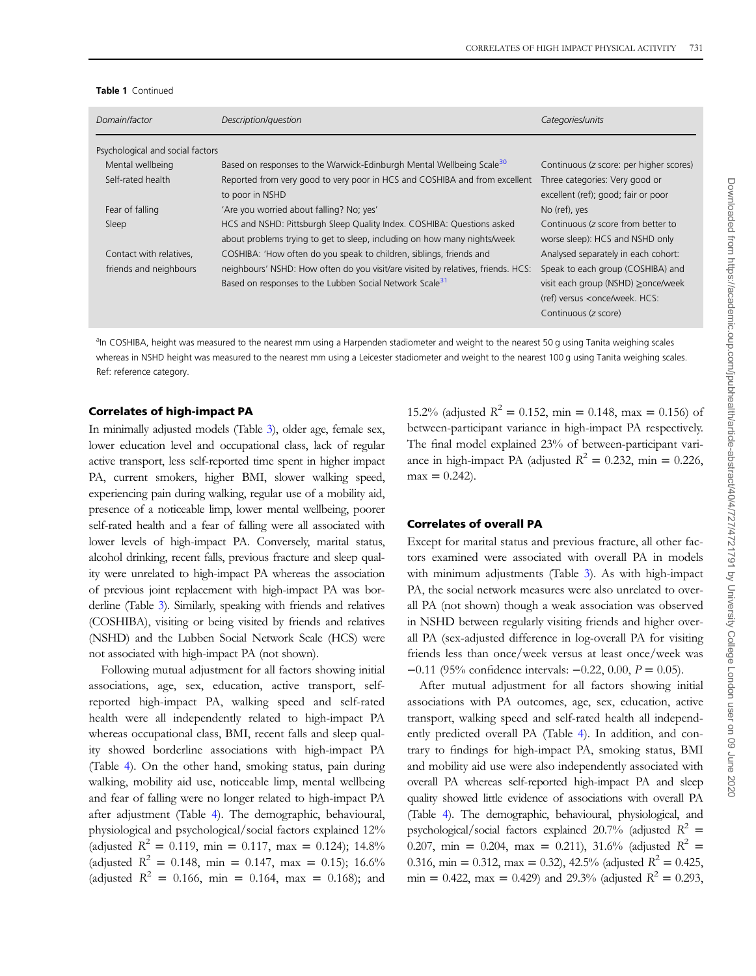|  | <b>Table 1</b> Continued |
|--|--------------------------|
|--|--------------------------|

| Domain/factor                    | Description/question                                                                                                                                    | Categories/units                                                                                                                              |
|----------------------------------|---------------------------------------------------------------------------------------------------------------------------------------------------------|-----------------------------------------------------------------------------------------------------------------------------------------------|
| Psychological and social factors |                                                                                                                                                         |                                                                                                                                               |
| Mental wellbeing                 | Based on responses to the Warwick-Edinburgh Mental Wellbeing Scale <sup>30</sup>                                                                        | Continuous (z score: per higher scores)                                                                                                       |
| Self-rated health                | Reported from very good to very poor in HCS and COSHIBA and from excellent<br>to poor in NSHD                                                           | Three categories: Very good or<br>excellent (ref); good; fair or poor                                                                         |
| Fear of falling                  | 'Are you worried about falling? No; yes'                                                                                                                | No (ref), yes                                                                                                                                 |
| Sleep                            | HCS and NSHD: Pittsburgh Sleep Quality Index. COSHIBA: Questions asked<br>about problems trying to get to sleep, including on how many nights/week      | Continuous (z score from better to<br>worse sleep): HCS and NSHD only                                                                         |
| Contact with relatives,          | COSHIBA: 'How often do you speak to children, siblings, friends and                                                                                     | Analysed separately in each cohort:                                                                                                           |
| friends and neighbours           | neighbours' NSHD: How often do you visit/are visited by relatives, friends. HCS:<br>Based on responses to the Lubben Social Network Scale <sup>31</sup> | Speak to each group (COSHIBA) and<br>visit each group (NSHD) ≥once/week<br>(ref) versus <once hcs:<br="" week.="">Continuous (z score)</once> |

an COSHIBA, height was measured to the nearest mm using a Harpenden stadiometer and weight to the nearest 50 g using Tanita weighing scales whereas in NSHD height was measured to the nearest mm using a Leicester stadiometer and weight to the nearest 100 g using Tanita weighing scales. Ref: reference category.

#### Correlates of high-impact PA

In minimally adjusted models (Table [3\)](#page-7-0), older age, female sex, lower education level and occupational class, lack of regular active transport, less self-reported time spent in higher impact PA, current smokers, higher BMI, slower walking speed, experiencing pain during walking, regular use of a mobility aid, presence of a noticeable limp, lower mental wellbeing, poorer self-rated health and a fear of falling were all associated with lower levels of high-impact PA. Conversely, marital status, alcohol drinking, recent falls, previous fracture and sleep quality were unrelated to high-impact PA whereas the association of previous joint replacement with high-impact PA was borderline (Table [3\)](#page-7-0). Similarly, speaking with friends and relatives (COSHIBA), visiting or being visited by friends and relatives (NSHD) and the Lubben Social Network Scale (HCS) were not associated with high-impact PA (not shown).

Following mutual adjustment for all factors showing initial associations, age, sex, education, active transport, selfreported high-impact PA, walking speed and self-rated health were all independently related to high-impact PA whereas occupational class, BMI, recent falls and sleep quality showed borderline associations with high-impact PA (Table [4](#page-8-0)). On the other hand, smoking status, pain during walking, mobility aid use, noticeable limp, mental wellbeing and fear of falling were no longer related to high-impact PA after adjustment (Table [4](#page-8-0)). The demographic, behavioural, physiological and psychological/social factors explained 12% (adjusted  $R^2 = 0.119$ , min = 0.117, max = 0.124); 14.8% (adjusted  $R^2 = 0.148$ , min = 0.147, max = 0.15); 16.6% (adjusted  $R^2 = 0.166$ , min = 0.164, max = 0.168); and

15.2% (adjusted  $R^2 = 0.152$ , min = 0.148, max = 0.156) of between-participant variance in high-impact PA respectively. The final model explained 23% of between-participant variance in high-impact PA (adjusted  $R^2 = 0.232$ , min = 0.226,  $max = 0.242$ .

#### Correlates of overall PA

Except for marital status and previous fracture, all other factors examined were associated with overall PA in models with minimum adjustments (Table [3](#page-7-0)). As with high-impact PA, the social network measures were also unrelated to overall PA (not shown) though a weak association was observed in NSHD between regularly visiting friends and higher overall PA (sex-adjusted difference in log-overall PA for visiting friends less than once/week versus at least once/week was −0.11 (95% confidence intervals: −0.22, 0.00, P = 0.05).

After mutual adjustment for all factors showing initial associations with PA outcomes, age, sex, education, active transport, walking speed and self-rated health all independently predicted overall PA (Table [4](#page-8-0)). In addition, and contrary to findings for high-impact PA, smoking status, BMI and mobility aid use were also independently associated with overall PA whereas self-reported high-impact PA and sleep quality showed little evidence of associations with overall PA (Table [4](#page-8-0)). The demographic, behavioural, physiological, and psychological/social factors explained 20.7% (adjusted  $R^2 =$ 0.207, min = 0.204, max = 0.211), 31.6% (adjusted  $R^2$  = 0.316, min = 0.312, max = 0.32), 42.5% (adjusted  $R^2 = 0.425$ , min = 0.422, max = 0.429) and 29.3% (adjusted  $R^2 = 0.293$ ,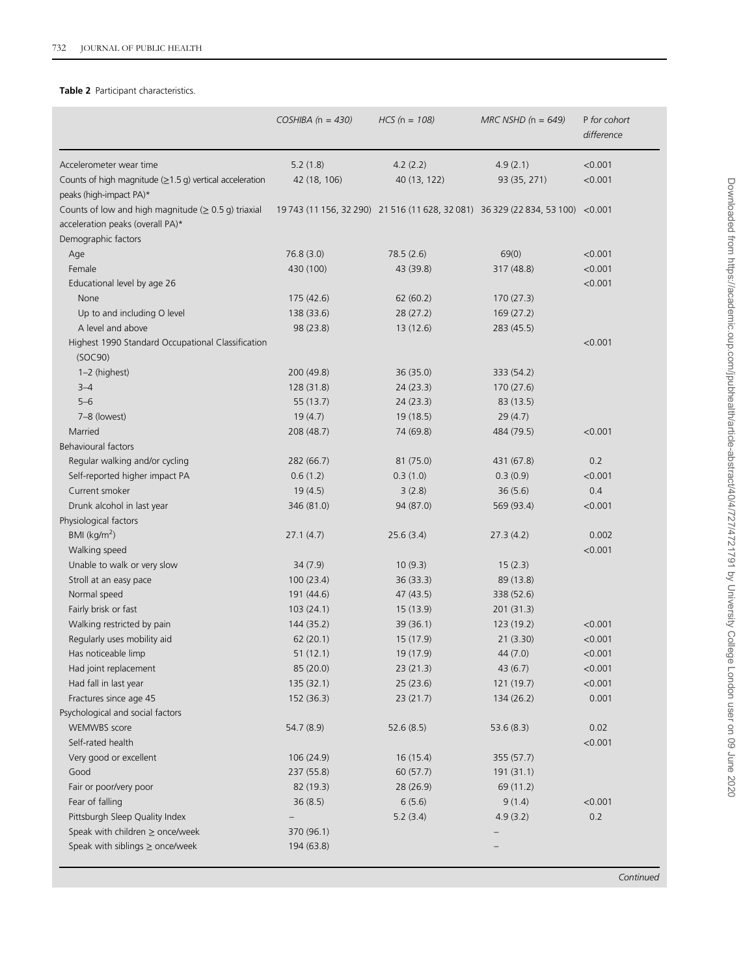## <span id="page-5-0"></span>Table 2 Participant characteristics.

|                                                                                                                      | COSHIBA ( $n = 430$ )    | $HCS$ (n = 108)                                                                 | $MRC$ NSHD (n = 649) | P for cohort<br>difference |
|----------------------------------------------------------------------------------------------------------------------|--------------------------|---------------------------------------------------------------------------------|----------------------|----------------------------|
| Accelerometer wear time                                                                                              | 5.2(1.8)                 | 4.2(2.2)                                                                        | 4.9(2.1)             | < 0.001                    |
| Counts of high magnitude $(\geq 1.5$ g) vertical acceleration<br>peaks (high-impact PA)*                             | 42 (18, 106)             | 40 (13, 122)                                                                    | 93 (35, 271)         | < 0.001                    |
| Counts of low and high magnitude ( $\geq 0.5$ g) triaxial<br>acceleration peaks (overall PA)*<br>Demographic factors |                          | 19 743 (11 156, 32 290) 21 516 (11 628, 32 081) 36 329 (22 834, 53 100) < 0.001 |                      |                            |
| Age                                                                                                                  | 76.8(3.0)                | 78.5(2.6)                                                                       | 69(0)                | < 0.001                    |
| Female                                                                                                               | 430 (100)                | 43 (39.8)                                                                       | 317 (48.8)           | < 0.001                    |
| Educational level by age 26                                                                                          |                          |                                                                                 |                      | < 0.001                    |
| None                                                                                                                 | 175 (42.6)               | 62(60.2)                                                                        | 170(27.3)            |                            |
| Up to and including O level                                                                                          | 138 (33.6)               | 28 (27.2)                                                                       | 169 (27.2)           |                            |
| A level and above                                                                                                    | 98 (23.8)                | 13(12.6)                                                                        | 283 (45.5)           |                            |
| Highest 1990 Standard Occupational Classification<br>(SOC90)                                                         |                          |                                                                                 |                      | < 0.001                    |
| 1-2 (highest)                                                                                                        | 200 (49.8)               | 36 (35.0)                                                                       | 333 (54.2)           |                            |
| $3 - 4$                                                                                                              | 128 (31.8)               | 24(23.3)                                                                        | 170 (27.6)           |                            |
| $5 - 6$                                                                                                              | 55(13.7)                 | 24(23.3)                                                                        | 83 (13.5)            |                            |
| 7-8 (lowest)                                                                                                         | 19(4.7)                  | 19 (18.5)                                                                       | 29(4.7)              |                            |
| Married                                                                                                              | 208 (48.7)               | 74 (69.8)                                                                       | 484 (79.5)           | < 0.001                    |
| <b>Behavioural factors</b>                                                                                           |                          |                                                                                 |                      |                            |
| Regular walking and/or cycling                                                                                       | 282 (66.7)               | 81 (75.0)                                                                       | 431 (67.8)           | 0.2                        |
| Self-reported higher impact PA                                                                                       | 0.6(1.2)                 | 0.3(1.0)                                                                        | 0.3(0.9)             | < 0.001                    |
| Current smoker                                                                                                       | 19(4.5)                  | 3(2.8)                                                                          | 36(5.6)              | 0.4                        |
| Drunk alcohol in last year                                                                                           | 346 (81.0)               | 94 (87.0)                                                                       | 569 (93.4)           | < 0.001                    |
| Physiological factors                                                                                                |                          |                                                                                 |                      |                            |
| BMI (kg/m <sup>2</sup> )                                                                                             | 27.1(4.7)                | 25.6(3.4)                                                                       | 27.3(4.2)            | 0.002                      |
| Walking speed                                                                                                        |                          |                                                                                 |                      | < 0.001                    |
| Unable to walk or very slow                                                                                          | 34(7.9)                  | 10(9.3)                                                                         | 15(2.3)              |                            |
| Stroll at an easy pace                                                                                               | 100(23.4)                | 36(33.3)                                                                        | 89 (13.8)            |                            |
| Normal speed                                                                                                         | 191 (44.6)               | 47 (43.5)                                                                       | 338 (52.6)           |                            |
| Fairly brisk or fast                                                                                                 | 103(24.1)                | 15(13.9)                                                                        | 201 (31.3)           |                            |
| Walking restricted by pain                                                                                           | 144 (35.2)               | 39 (36.1)                                                                       | 123 (19.2)           | < 0.001                    |
| Regularly uses mobility aid                                                                                          | 62(20.1)                 | 15 (17.9)                                                                       | 21(3.30)             | < 0.001                    |
| Has noticeable limp                                                                                                  | 51(12.1)                 | 19 (17.9)                                                                       | 44(7.0)              | < 0.001                    |
| Had joint replacement                                                                                                | 85 (20.0)                | 23 (21.3)                                                                       | 43(6.7)              | < 0.001                    |
| Had fall in last year                                                                                                | 135 (32.1)               | 25(23.6)                                                                        | 121 (19.7)           | < 0.001                    |
| Fractures since age 45                                                                                               | 152 (36.3)               | 23(21.7)                                                                        | 134 (26.2)           | 0.001                      |
| Psychological and social factors                                                                                     |                          |                                                                                 |                      |                            |
| <b>WEMWBS</b> score                                                                                                  | 54.7 (8.9)               | 52.6(8.5)                                                                       | 53.6(8.3)            | 0.02                       |
| Self-rated health                                                                                                    |                          |                                                                                 |                      | < 0.001                    |
| Very good or excellent                                                                                               | 106(24.9)                | 16(15.4)                                                                        | 355 (57.7)           |                            |
| Good                                                                                                                 | 237 (55.8)               | 60 (57.7)                                                                       | 191(31.1)            |                            |
| Fair or poor/very poor                                                                                               | 82 (19.3)                | 28 (26.9)                                                                       | 69 (11.2)            |                            |
| Fear of falling                                                                                                      | 36(8.5)                  | 6(5.6)                                                                          | 9(1.4)               | < 0.001                    |
| Pittsburgh Sleep Quality Index                                                                                       |                          | 5.2(3.4)                                                                        | 4.9(3.2)             | 0.2                        |
| Speak with children $\geq$ once/week<br>Speak with siblings $\geq$ once/week                                         | 370 (96.1)<br>194 (63.8) |                                                                                 |                      |                            |
|                                                                                                                      |                          |                                                                                 |                      |                            |

Continued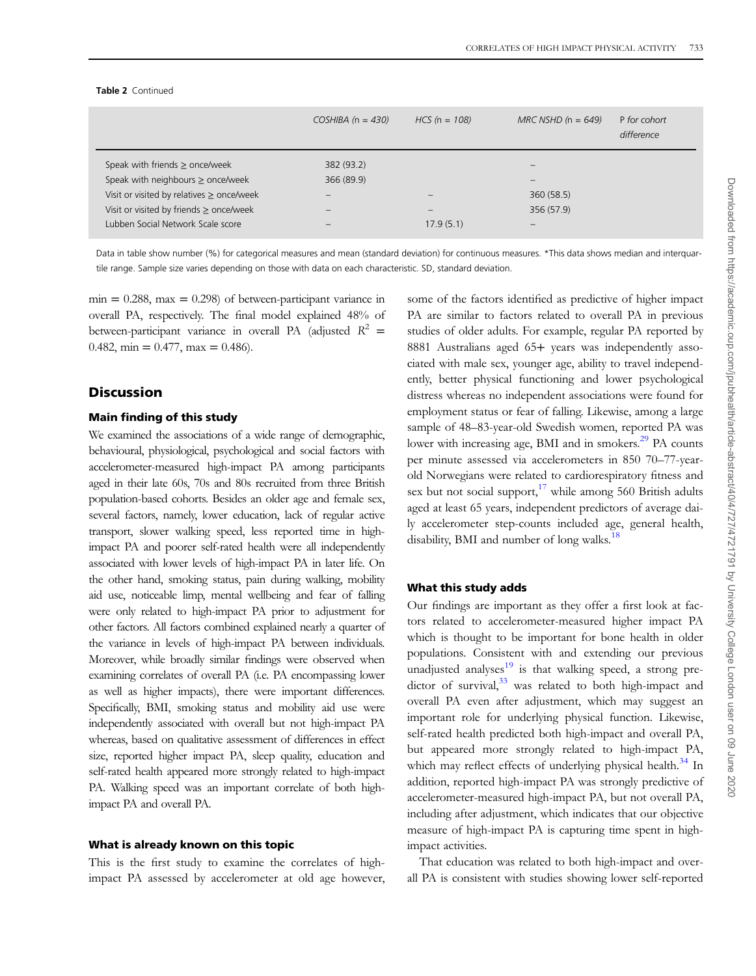#### Table 2 Continued

|                                                | $COSHIBA$ (n = 430)      | $HCS$ (n = 108) | $MRC$ NSHD (n = 649)     | P for cohort<br>difference |
|------------------------------------------------|--------------------------|-----------------|--------------------------|----------------------------|
| Speak with friends $\geq$ once/week            | 382 (93.2)               |                 | $\overline{\phantom{0}}$ |                            |
| Speak with neighbours $\geq$ once/week         | 366 (89.9)               |                 | $\overline{\phantom{0}}$ |                            |
| Visit or visited by relatives $\geq$ once/week |                          |                 | 360(58.5)                |                            |
| Visit or visited by friends $\geq$ once/week   | $\overline{\phantom{0}}$ |                 | 356 (57.9)               |                            |
| Lubben Social Network Scale score              |                          | 17.9(5.1)       |                          |                            |
|                                                |                          |                 |                          |                            |

Data in table show number (%) for categorical measures and mean (standard deviation) for continuous measures. \*This data shows median and interquartile range. Sample size varies depending on those with data on each characteristic. SD, standard deviation.

 $min = 0.288$ ,  $max = 0.298$  of between-participant variance in overall PA, respectively. The final model explained 48% of between-participant variance in overall PA (adjusted  $R^2$  = 0.482, min =  $0.477$ , max = 0.486).

## **Discussion**

## Main finding of this study

We examined the associations of a wide range of demographic, behavioural, physiological, psychological and social factors with accelerometer-measured high-impact PA among participants aged in their late 60s, 70s and 80s recruited from three British population-based cohorts. Besides an older age and female sex, several factors, namely, lower education, lack of regular active transport, slower walking speed, less reported time in highimpact PA and poorer self-rated health were all independently associated with lower levels of high-impact PA in later life. On the other hand, smoking status, pain during walking, mobility aid use, noticeable limp, mental wellbeing and fear of falling were only related to high-impact PA prior to adjustment for other factors. All factors combined explained nearly a quarter of the variance in levels of high-impact PA between individuals. Moreover, while broadly similar findings were observed when examining correlates of overall PA (i.e. PA encompassing lower as well as higher impacts), there were important differences. Specifically, BMI, smoking status and mobility aid use were independently associated with overall but not high-impact PA whereas, based on qualitative assessment of differences in effect size, reported higher impact PA, sleep quality, education and self-rated health appeared more strongly related to high-impact PA. Walking speed was an important correlate of both highimpact PA and overall PA.

#### What is already known on this topic

This is the first study to examine the correlates of highimpact PA assessed by accelerometer at old age however,

some of the factors identified as predictive of higher impact PA are similar to factors related to overall PA in previous studies of older adults. For example, regular PA reported by 8881 Australians aged 65+ years was independently associated with male sex, younger age, ability to travel independently, better physical functioning and lower psychological distress whereas no independent associations were found for employment status or fear of falling. Likewise, among a large sample of 48–83-year-old Swedish women, reported PA was lower with increasing age, BMI and in smokers.<sup>[29](#page-10-0)</sup> PA counts per minute assessed via accelerometers in 850 70–77-yearold Norwegians were related to cardiorespiratory fitness and sex but not social support, $17$  while among 560 British adults aged at least 65 years, independent predictors of average daily accelerometer step-counts included age, general health, disability, BMI and number of long walks.<sup>[18](#page-10-0)</sup>

#### What this study adds

Our findings are important as they offer a first look at factors related to accelerometer-measured higher impact PA which is thought to be important for bone health in older populations. Consistent with and extending our previous unadjusted analyses $19$  is that walking speed, a strong predictor of survival, $33$  was related to both high-impact and overall PA even after adjustment, which may suggest an important role for underlying physical function. Likewise, self-rated health predicted both high-impact and overall PA, but appeared more strongly related to high-impact PA, which may reflect effects of underlying physical health.<sup>[34](#page-10-0)</sup> In addition, reported high-impact PA was strongly predictive of accelerometer-measured high-impact PA, but not overall PA, including after adjustment, which indicates that our objective measure of high-impact PA is capturing time spent in highimpact activities.

That education was related to both high-impact and overall PA is consistent with studies showing lower self-reported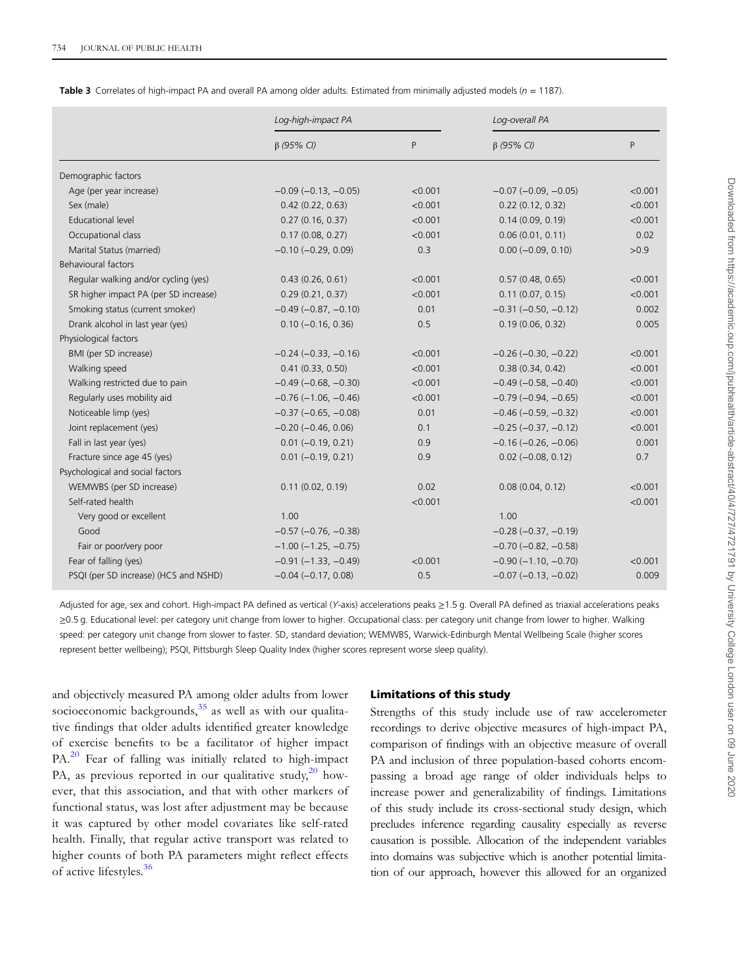<span id="page-7-0"></span>

| <b>Table 3</b> Correlates of high-impact PA and overall PA among older adults. Estimated from minimally adjusted models ( $n = 1187$ ). |  |  |
|-----------------------------------------------------------------------------------------------------------------------------------------|--|--|
|                                                                                                                                         |  |  |

| P<br>P<br>$\beta$ (95% CI)<br>$\beta$ (95% CI)<br>Demographic factors<br>Age (per year increase)<br>$-0.09$ ( $-0.13$ , $-0.05$ )<br>< 0.001<br>$-0.07$ ( $-0.09$ , $-0.05$ )<br>< 0.001<br>Sex (male)<br>0.42(0.22, 0.63)<br>0.22(0.12, 0.32)<br><b>Educational level</b><br>0.27(0.16, 0.37)<br>< 0.001<br>0.14(0.09, 0.19)<br>0.06(0.01, 0.11)<br>Occupational class<br>0.17(0.08, 0.27)<br>< 0.001<br>Marital Status (married)<br>$-0.10$ $(-0.29, 0.09)$<br>0.3<br>$0.00 (-0.09, 0.10)$<br><b>Behavioural factors</b><br>Regular walking and/or cycling (yes)<br>0.43(0.26, 0.61)<br>< 0.001<br>0.57(0.48, 0.65)<br>SR higher impact PA (per SD increase)<br>0.29(0.21, 0.37)<br>< 0.001<br>0.11(0.07, 0.15)<br>Smoking status (current smoker)<br>$-0.49$ $(-0.87, -0.10)$<br>0.01<br>$-0.31$ $(-0.50, -0.12)$<br>Drank alcohol in last year (yes)<br>$0.10 (-0.16, 0.36)$<br>0.5<br>0.19(0.06, 0.32)<br>Physiological factors<br>BMI (per SD increase)<br>$-0.24 (-0.33, -0.16)$<br>< 0.001<br>$-0.26$ ( $-0.30$ , $-0.22$ )<br>Walking speed<br>< 0.001<br>0.38(0.34, 0.42)<br>0.41(0.33, 0.50)<br>Walking restricted due to pain<br>$-0.49$ ( $-0.68$ , $-0.30$ )<br>$-0.49$ $(-0.58, -0.40)$<br>< 0.001<br>Regularly uses mobility aid<br>$-0.76(-1.06, -0.46)$<br>< 0.001<br>$-0.79(-0.94, -0.65)$<br>0.01<br>Noticeable limp (yes)<br>$-0.37$ $(-0.65, -0.08)$<br>$-0.46$ ( $-0.59$ , $-0.32$ )<br>Joint replacement (yes)<br>$-0.20$ ( $-0.46$ , 0.06)<br>0.1<br>$-0.25$ ( $-0.37$ , $-0.12$ )<br>Fall in last year (yes)<br>$0.01 (-0.19, 0.21)$<br>0.9<br>$-0.16$ ( $-0.26$ , $-0.06$ )<br>Fracture since age 45 (yes)<br>$0.01 (-0.19, 0.21)$<br>0.9<br>$0.02 (-0.08, 0.12)$<br>Psychological and social factors<br>WEMWBS (per SD increase)<br>0.02<br>0.11(0.02, 0.19)<br>0.08(0.04, 0.12)<br>Self-rated health<br>< 0.001<br>Very good or excellent<br>1.00<br>1.00 |      | Log-high-impact PA            |  | Log-overall PA           |         |  |
|----------------------------------------------------------------------------------------------------------------------------------------------------------------------------------------------------------------------------------------------------------------------------------------------------------------------------------------------------------------------------------------------------------------------------------------------------------------------------------------------------------------------------------------------------------------------------------------------------------------------------------------------------------------------------------------------------------------------------------------------------------------------------------------------------------------------------------------------------------------------------------------------------------------------------------------------------------------------------------------------------------------------------------------------------------------------------------------------------------------------------------------------------------------------------------------------------------------------------------------------------------------------------------------------------------------------------------------------------------------------------------------------------------------------------------------------------------------------------------------------------------------------------------------------------------------------------------------------------------------------------------------------------------------------------------------------------------------------------------------------------------------------------------------------------------------------------------------------------------------------------------------|------|-------------------------------|--|--------------------------|---------|--|
|                                                                                                                                                                                                                                                                                                                                                                                                                                                                                                                                                                                                                                                                                                                                                                                                                                                                                                                                                                                                                                                                                                                                                                                                                                                                                                                                                                                                                                                                                                                                                                                                                                                                                                                                                                                                                                                                                        |      |                               |  |                          |         |  |
|                                                                                                                                                                                                                                                                                                                                                                                                                                                                                                                                                                                                                                                                                                                                                                                                                                                                                                                                                                                                                                                                                                                                                                                                                                                                                                                                                                                                                                                                                                                                                                                                                                                                                                                                                                                                                                                                                        |      |                               |  |                          |         |  |
|                                                                                                                                                                                                                                                                                                                                                                                                                                                                                                                                                                                                                                                                                                                                                                                                                                                                                                                                                                                                                                                                                                                                                                                                                                                                                                                                                                                                                                                                                                                                                                                                                                                                                                                                                                                                                                                                                        |      |                               |  |                          | < 0.001 |  |
|                                                                                                                                                                                                                                                                                                                                                                                                                                                                                                                                                                                                                                                                                                                                                                                                                                                                                                                                                                                                                                                                                                                                                                                                                                                                                                                                                                                                                                                                                                                                                                                                                                                                                                                                                                                                                                                                                        |      |                               |  |                          | < 0.001 |  |
|                                                                                                                                                                                                                                                                                                                                                                                                                                                                                                                                                                                                                                                                                                                                                                                                                                                                                                                                                                                                                                                                                                                                                                                                                                                                                                                                                                                                                                                                                                                                                                                                                                                                                                                                                                                                                                                                                        |      |                               |  |                          | < 0.001 |  |
|                                                                                                                                                                                                                                                                                                                                                                                                                                                                                                                                                                                                                                                                                                                                                                                                                                                                                                                                                                                                                                                                                                                                                                                                                                                                                                                                                                                                                                                                                                                                                                                                                                                                                                                                                                                                                                                                                        |      |                               |  |                          | 0.02    |  |
|                                                                                                                                                                                                                                                                                                                                                                                                                                                                                                                                                                                                                                                                                                                                                                                                                                                                                                                                                                                                                                                                                                                                                                                                                                                                                                                                                                                                                                                                                                                                                                                                                                                                                                                                                                                                                                                                                        |      |                               |  |                          | >0.9    |  |
|                                                                                                                                                                                                                                                                                                                                                                                                                                                                                                                                                                                                                                                                                                                                                                                                                                                                                                                                                                                                                                                                                                                                                                                                                                                                                                                                                                                                                                                                                                                                                                                                                                                                                                                                                                                                                                                                                        |      |                               |  |                          |         |  |
|                                                                                                                                                                                                                                                                                                                                                                                                                                                                                                                                                                                                                                                                                                                                                                                                                                                                                                                                                                                                                                                                                                                                                                                                                                                                                                                                                                                                                                                                                                                                                                                                                                                                                                                                                                                                                                                                                        |      |                               |  |                          | < 0.001 |  |
|                                                                                                                                                                                                                                                                                                                                                                                                                                                                                                                                                                                                                                                                                                                                                                                                                                                                                                                                                                                                                                                                                                                                                                                                                                                                                                                                                                                                                                                                                                                                                                                                                                                                                                                                                                                                                                                                                        |      |                               |  |                          | < 0.001 |  |
|                                                                                                                                                                                                                                                                                                                                                                                                                                                                                                                                                                                                                                                                                                                                                                                                                                                                                                                                                                                                                                                                                                                                                                                                                                                                                                                                                                                                                                                                                                                                                                                                                                                                                                                                                                                                                                                                                        |      |                               |  |                          | 0.002   |  |
|                                                                                                                                                                                                                                                                                                                                                                                                                                                                                                                                                                                                                                                                                                                                                                                                                                                                                                                                                                                                                                                                                                                                                                                                                                                                                                                                                                                                                                                                                                                                                                                                                                                                                                                                                                                                                                                                                        |      |                               |  |                          | 0.005   |  |
|                                                                                                                                                                                                                                                                                                                                                                                                                                                                                                                                                                                                                                                                                                                                                                                                                                                                                                                                                                                                                                                                                                                                                                                                                                                                                                                                                                                                                                                                                                                                                                                                                                                                                                                                                                                                                                                                                        |      |                               |  |                          |         |  |
|                                                                                                                                                                                                                                                                                                                                                                                                                                                                                                                                                                                                                                                                                                                                                                                                                                                                                                                                                                                                                                                                                                                                                                                                                                                                                                                                                                                                                                                                                                                                                                                                                                                                                                                                                                                                                                                                                        |      |                               |  |                          | < 0.001 |  |
|                                                                                                                                                                                                                                                                                                                                                                                                                                                                                                                                                                                                                                                                                                                                                                                                                                                                                                                                                                                                                                                                                                                                                                                                                                                                                                                                                                                                                                                                                                                                                                                                                                                                                                                                                                                                                                                                                        |      |                               |  |                          | < 0.001 |  |
|                                                                                                                                                                                                                                                                                                                                                                                                                                                                                                                                                                                                                                                                                                                                                                                                                                                                                                                                                                                                                                                                                                                                                                                                                                                                                                                                                                                                                                                                                                                                                                                                                                                                                                                                                                                                                                                                                        |      |                               |  |                          | < 0.001 |  |
|                                                                                                                                                                                                                                                                                                                                                                                                                                                                                                                                                                                                                                                                                                                                                                                                                                                                                                                                                                                                                                                                                                                                                                                                                                                                                                                                                                                                                                                                                                                                                                                                                                                                                                                                                                                                                                                                                        |      |                               |  |                          | < 0.001 |  |
|                                                                                                                                                                                                                                                                                                                                                                                                                                                                                                                                                                                                                                                                                                                                                                                                                                                                                                                                                                                                                                                                                                                                                                                                                                                                                                                                                                                                                                                                                                                                                                                                                                                                                                                                                                                                                                                                                        |      |                               |  |                          | < 0.001 |  |
|                                                                                                                                                                                                                                                                                                                                                                                                                                                                                                                                                                                                                                                                                                                                                                                                                                                                                                                                                                                                                                                                                                                                                                                                                                                                                                                                                                                                                                                                                                                                                                                                                                                                                                                                                                                                                                                                                        |      |                               |  |                          | < 0.001 |  |
|                                                                                                                                                                                                                                                                                                                                                                                                                                                                                                                                                                                                                                                                                                                                                                                                                                                                                                                                                                                                                                                                                                                                                                                                                                                                                                                                                                                                                                                                                                                                                                                                                                                                                                                                                                                                                                                                                        |      |                               |  |                          | 0.001   |  |
|                                                                                                                                                                                                                                                                                                                                                                                                                                                                                                                                                                                                                                                                                                                                                                                                                                                                                                                                                                                                                                                                                                                                                                                                                                                                                                                                                                                                                                                                                                                                                                                                                                                                                                                                                                                                                                                                                        |      |                               |  |                          | 0.7     |  |
|                                                                                                                                                                                                                                                                                                                                                                                                                                                                                                                                                                                                                                                                                                                                                                                                                                                                                                                                                                                                                                                                                                                                                                                                                                                                                                                                                                                                                                                                                                                                                                                                                                                                                                                                                                                                                                                                                        |      |                               |  |                          |         |  |
|                                                                                                                                                                                                                                                                                                                                                                                                                                                                                                                                                                                                                                                                                                                                                                                                                                                                                                                                                                                                                                                                                                                                                                                                                                                                                                                                                                                                                                                                                                                                                                                                                                                                                                                                                                                                                                                                                        |      |                               |  |                          | < 0.001 |  |
|                                                                                                                                                                                                                                                                                                                                                                                                                                                                                                                                                                                                                                                                                                                                                                                                                                                                                                                                                                                                                                                                                                                                                                                                                                                                                                                                                                                                                                                                                                                                                                                                                                                                                                                                                                                                                                                                                        |      |                               |  |                          | < 0.001 |  |
|                                                                                                                                                                                                                                                                                                                                                                                                                                                                                                                                                                                                                                                                                                                                                                                                                                                                                                                                                                                                                                                                                                                                                                                                                                                                                                                                                                                                                                                                                                                                                                                                                                                                                                                                                                                                                                                                                        |      |                               |  |                          |         |  |
|                                                                                                                                                                                                                                                                                                                                                                                                                                                                                                                                                                                                                                                                                                                                                                                                                                                                                                                                                                                                                                                                                                                                                                                                                                                                                                                                                                                                                                                                                                                                                                                                                                                                                                                                                                                                                                                                                        | Good | $-0.57$ ( $-0.76$ , $-0.38$ ) |  | $-0.28$ $(-0.37, -0.19)$ |         |  |
| Fair or poor/very poor<br>$-1.00$ ( $-1.25$ , $-0.75$ )<br>$-0.70$ ( $-0.82$ , $-0.58$ )                                                                                                                                                                                                                                                                                                                                                                                                                                                                                                                                                                                                                                                                                                                                                                                                                                                                                                                                                                                                                                                                                                                                                                                                                                                                                                                                                                                                                                                                                                                                                                                                                                                                                                                                                                                               |      |                               |  |                          |         |  |
| Fear of falling (yes)<br>$-0.91(-1.33, -0.49)$<br>$-0.90$ ( $-1.10$ , $-0.70$ )<br>< 0.001                                                                                                                                                                                                                                                                                                                                                                                                                                                                                                                                                                                                                                                                                                                                                                                                                                                                                                                                                                                                                                                                                                                                                                                                                                                                                                                                                                                                                                                                                                                                                                                                                                                                                                                                                                                             |      |                               |  |                          | < 0.001 |  |
| $-0.04 (-0.17, 0.08)$<br>0.5<br>$-0.07$ $(-0.13, -0.02)$<br>PSQI (per SD increase) (HCS and NSHD)                                                                                                                                                                                                                                                                                                                                                                                                                                                                                                                                                                                                                                                                                                                                                                                                                                                                                                                                                                                                                                                                                                                                                                                                                                                                                                                                                                                                                                                                                                                                                                                                                                                                                                                                                                                      |      |                               |  |                          | 0.009   |  |

Adjusted for age, sex and cohort. High-impact PA defined as vertical (Y-axis) accelerations peaks ≥1.5 g. Overall PA defined as triaxial accelerations peaks ≥0.5 g. Educational level: per category unit change from lower to higher. Occupational class: per category unit change from lower to higher. Walking speed: per category unit change from slower to faster. SD, standard deviation; WEMWBS, Warwick-Edinburgh Mental Wellbeing Scale (higher scores represent better wellbeing); PSQI, Pittsburgh Sleep Quality Index (higher scores represent worse sleep quality).

and objectively measured PA among older adults from lower socioeconomic backgrounds, $35$  as well as with our qualitative findings that older adults identified greater knowledge of exercise benefits to be a facilitator of higher impact PA.<sup>[20](#page-10-0)</sup> Fear of falling was initially related to high-impact PA, as previous reported in our qualitative study, $^{20}$  $^{20}$  $^{20}$  however, that this association, and that with other markers of functional status, was lost after adjustment may be because it was captured by other model covariates like self-rated health. Finally, that regular active transport was related to higher counts of both PA parameters might reflect effects of active lifestyles.<sup>[36](#page-10-0)</sup>

#### Limitations of this study

Strengths of this study include use of raw accelerometer recordings to derive objective measures of high-impact PA, comparison of findings with an objective measure of overall PA and inclusion of three population-based cohorts encompassing a broad age range of older individuals helps to increase power and generalizability of findings. Limitations of this study include its cross-sectional study design, which precludes inference regarding causality especially as reverse causation is possible. Allocation of the independent variables into domains was subjective which is another potential limitation of our approach, however this allowed for an organized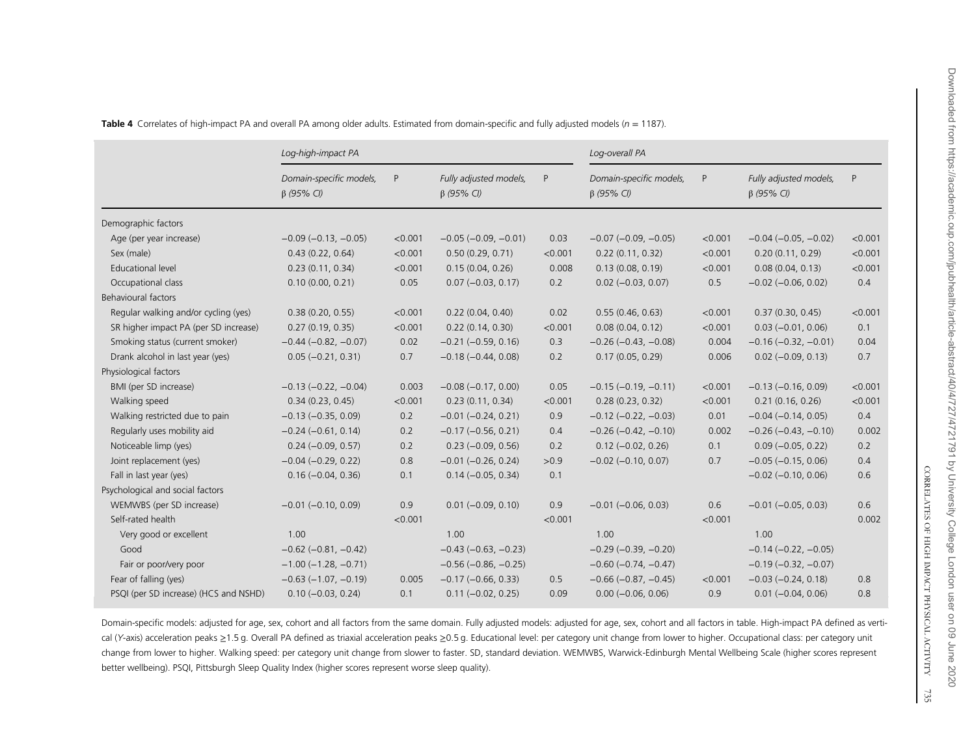|                                       | Log-high-impact PA                          |         |                                            | Log-overall PA |                                             |         |                                            |         |
|---------------------------------------|---------------------------------------------|---------|--------------------------------------------|----------------|---------------------------------------------|---------|--------------------------------------------|---------|
|                                       | Domain-specific models,<br>$\beta$ (95% CI) | P       | Fully adjusted models,<br>$\beta$ (95% CI) | P              | Domain-specific models,<br>$\beta$ (95% CI) | P       | Fully adjusted models,<br>$\beta$ (95% CI) | P       |
| Demographic factors                   |                                             |         |                                            |                |                                             |         |                                            |         |
| Age (per year increase)               | $-0.09$ ( $-0.13$ , $-0.05$ )               | < 0.001 | $-0.05$ ( $-0.09$ , $-0.01$ )              | 0.03           | $-0.07$ ( $-0.09$ , $-0.05$ )               | < 0.001 | $-0.04 (-0.05, -0.02)$                     | < 0.001 |
| Sex (male)                            | 0.43(0.22, 0.64)                            | < 0.001 | 0.50(0.29, 0.71)                           | < 0.001        | 0.22(0.11, 0.32)                            | < 0.001 | 0.20(0.11, 0.29)                           | < 0.001 |
| <b>Educational level</b>              | 0.23(0.11, 0.34)                            | < 0.001 | 0.15(0.04, 0.26)                           | 0.008          | 0.13(0.08, 0.19)                            | < 0.001 | 0.08(0.04, 0.13)                           | < 0.001 |
| Occupational class                    | 0.10(0.00, 0.21)                            | 0.05    | $0.07 (-0.03, 0.17)$                       | 0.2            | $0.02 (-0.03, 0.07)$                        | 0.5     | $-0.02$ $(-0.06, 0.02)$                    | 0.4     |
| <b>Behavioural factors</b>            |                                             |         |                                            |                |                                             |         |                                            |         |
| Regular walking and/or cycling (yes)  | 0.38(0.20, 0.55)                            | < 0.001 | 0.22(0.04, 0.40)                           | 0.02           | 0.55(0.46, 0.63)                            | < 0.001 | 0.37(0.30, 0.45)                           | < 0.001 |
| SR higher impact PA (per SD increase) | 0.27(0.19, 0.35)                            | < 0.001 | 0.22(0.14, 0.30)                           | < 0.001        | 0.08(0.04, 0.12)                            | < 0.001 | $0.03 (-0.01, 0.06)$                       | 0.1     |
| Smoking status (current smoker)       | $-0.44 (-0.82, -0.07)$                      | 0.02    | $-0.21$ $(-0.59, 0.16)$                    | 0.3            | $-0.26$ ( $-0.43$ , $-0.08$ )               | 0.004   | $-0.16$ ( $-0.32$ , $-0.01$ )              | 0.04    |
| Drank alcohol in last year (yes)      | $0.05 (-0.21, 0.31)$                        | 0.7     | $-0.18$ $(-0.44, 0.08)$                    | 0.2            | 0.17(0.05, 0.29)                            | 0.006   | $0.02 (-0.09, 0.13)$                       | 0.7     |
| Physiological factors                 |                                             |         |                                            |                |                                             |         |                                            |         |
| BMI (per SD increase)                 | $-0.13$ $(-0.22, -0.04)$                    | 0.003   | $-0.08$ $(-0.17, 0.00)$                    | 0.05           | $-0.15$ ( $-0.19$ , $-0.11$ )               | < 0.001 | $-0.13(-0.16, 0.09)$                       | < 0.001 |
| Walking speed                         | 0.34(0.23, 0.45)                            | < 0.001 | 0.23(0.11, 0.34)                           | < 0.001        | 0.28(0.23, 0.32)                            | < 0.001 | 0.21(0.16, 0.26)                           | < 0.001 |
| Walking restricted due to pain        | $-0.13 (-0.35, 0.09)$                       | 0.2     | $-0.01$ $(-0.24, 0.21)$                    | 0.9            | $-0.12$ ( $-0.22$ , $-0.03$ )               | 0.01    | $-0.04 (-0.14, 0.05)$                      | 0.4     |
| Regularly uses mobility aid           | $-0.24 (-0.61, 0.14)$                       | 0.2     | $-0.17$ $(-0.56, 0.21)$                    | 0.4            | $-0.26$ ( $-0.42$ , $-0.10$ )               | 0.002   | $-0.26$ $(-0.43, -0.10)$                   | 0.002   |
| Noticeable limp (yes)                 | $0.24 (-0.09, 0.57)$                        | 0.2     | $0.23 (-0.09, 0.56)$                       | 0.2            | $0.12 (-0.02, 0.26)$                        | 0.1     | $0.09 (-0.05, 0.22)$                       | 0.2     |
| Joint replacement (yes)               | $-0.04 (-0.29, 0.22)$                       | 0.8     | $-0.01$ $(-0.26, 0.24)$                    | >0.9           | $-0.02$ ( $-0.10$ , 0.07)                   | 0.7     | $-0.05$ $(-0.15, 0.06)$                    | 0.4     |
| Fall in last year (yes)               | $0.16 (-0.04, 0.36)$                        | 0.1     | $0.14 (-0.05, 0.34)$                       | 0.1            |                                             |         | $-0.02$ $(-0.10, 0.06)$                    | 0.6     |
| Psychological and social factors      |                                             |         |                                            |                |                                             |         |                                            |         |
| WEMWBS (per SD increase)              | $-0.01$ $(-0.10, 0.09)$                     | 0.9     | $0.01 (-0.09, 0.10)$                       | 0.9            | $-0.01$ $(-0.06, 0.03)$                     | 0.6     | $-0.01$ $(-0.05, 0.03)$                    | 0.6     |
| Self-rated health                     |                                             | < 0.001 |                                            | < 0.001        |                                             | < 0.001 |                                            | 0.002   |
| Very good or excellent                | 1.00                                        |         | 1.00                                       |                | 1.00                                        |         | 1.00                                       |         |
| Good                                  | $-0.62$ ( $-0.81$ , $-0.42$ )               |         | $-0.43$ ( $-0.63$ , $-0.23$ )              |                | $-0.29$ ( $-0.39$ , $-0.20$ )               |         | $-0.14 (-0.22, -0.05)$                     |         |
| Fair or poor/very poor                | $-1.00$ ( $-1.28$ , $-0.71$ )               |         | $-0.56$ ( $-0.86$ , $-0.25$ )              |                | $-0.60$ ( $-0.74$ , $-0.47$ )               |         | $-0.19(-0.32, -0.07)$                      |         |
| Fear of falling (yes)                 | $-0.63$ ( $-1.07$ , $-0.19$ )               | 0.005   | $-0.17$ $(-0.66, 0.33)$                    | 0.5            | $-0.66$ ( $-0.87$ , $-0.45$ )               | < 0.001 | $-0.03$ $(-0.24, 0.18)$                    | 0.8     |
| PSQI (per SD increase) (HCS and NSHD) | $0.10 (-0.03, 0.24)$                        | 0.1     | $0.11 (-0.02, 0.25)$                       | 0.09           | $0.00 (-0.06, 0.06)$                        | 0.9     | $0.01 (-0.04, 0.06)$                       | 0.8     |

<span id="page-8-0"></span>**Table 4** Correlates of high-impact PA and overall PA among older adults. Estimated from domain-specific and fully adjusted models (n = 1187).

Domain-specifi<sup>c</sup> models: adjusted for age, sex, cohort and all factors from the same domain. Fully adjusted models: adjusted for age, sex, cohort and all factors in table. High-impact PA defined as vertical (Y-axis) acceleration peaks ≥1.5 g. Overall PA defined as triaxial acceleration peaks ≥0.5 g. Educational level: per category unit change from lower to higher. Occupational class: per category unit change from lower to higher. Walking speed: per category unit change from slower to faster. SD, standard deviation. WEMWBS, Warwick-Edinburgh Mental Wellbeing Scale (higher scores represent better wellbeing). PSQI, Pittsburgh Sleep Quality Index (higher scores represent worse sleep quality).

CORRELATES OF HIGH IMPACT PHYSICAL ACTIVITY CORRELATES OF HIGH IMPACT PHYSICAL ACTIVITY 735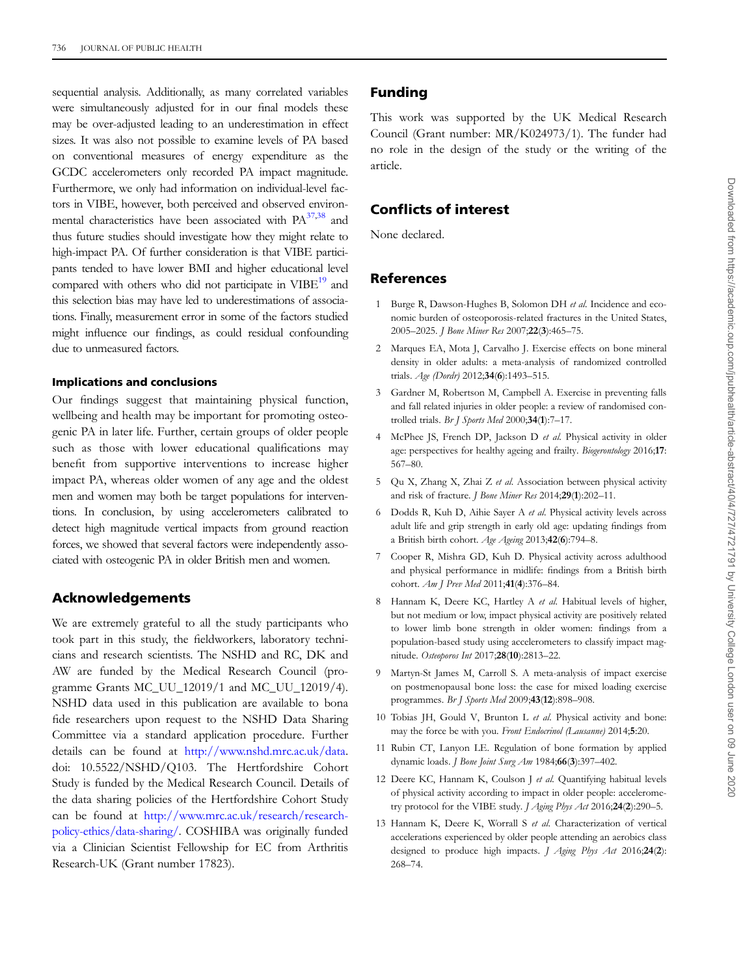<span id="page-9-0"></span>sequential analysis. Additionally, as many correlated variables were simultaneously adjusted for in our final models these may be over-adjusted leading to an underestimation in effect sizes. It was also not possible to examine levels of PA based on conventional measures of energy expenditure as the GCDC accelerometers only recorded PA impact magnitude. Furthermore, we only had information on individual-level factors in VIBE, however, both perceived and observed environ-mental characteristics have been associated with PA<sup>37,[38](#page-10-0)</sup> and thus future studies should investigate how they might relate to high-impact PA. Of further consideration is that VIBE participants tended to have lower BMI and higher educational level compared with others who did not participate in VIBE<sup>[19](#page-10-0)</sup> and this selection bias may have led to underestimations of associations. Finally, measurement error in some of the factors studied might influence our findings, as could residual confounding due to unmeasured factors.

#### Implications and conclusions

Our findings suggest that maintaining physical function, wellbeing and health may be important for promoting osteogenic PA in later life. Further, certain groups of older people such as those with lower educational qualifications may benefit from supportive interventions to increase higher impact PA, whereas older women of any age and the oldest men and women may both be target populations for interventions. In conclusion, by using accelerometers calibrated to detect high magnitude vertical impacts from ground reaction forces, we showed that several factors were independently associated with osteogenic PA in older British men and women.

## Acknowledgements

We are extremely grateful to all the study participants who took part in this study, the fieldworkers, laboratory technicians and research scientists. The NSHD and RC, DK and AW are funded by the Medical Research Council (programme Grants MC\_UU\_12019/1 and MC\_UU\_12019/4). NSHD data used in this publication are available to bona fide researchers upon request to the NSHD Data Sharing Committee via a standard application procedure. Further details can be found at <http://www.nshd.mrc.ac.uk/data>. doi: 10.5522/NSHD/Q103. The Hertfordshire Cohort Study is funded by the Medical Research Council. Details of the data sharing policies of the Hertfordshire Cohort Study can be found at [http://www.mrc.ac.uk/research/research](http://www.mrc.ac.uk/research/research-policy-ethics/data-sharing/)[policy-ethics/data-sharing/.](http://www.mrc.ac.uk/research/research-policy-ethics/data-sharing/) COSHIBA was originally funded via a Clinician Scientist Fellowship for EC from Arthritis Research-UK (Grant number 17823).

## Funding

This work was supported by the UK Medical Research Council (Grant number: MR/K024973/1). The funder had no role in the design of the study or the writing of the article.

# Conflicts of interest

None declared.

## References

- 1 Burge R, Dawson-Hughes B, Solomon DH et al. Incidence and economic burden of osteoporosis-related fractures in the United States, 2005–2025. J Bone Miner Res 2007;22(3):465–75.
- 2 Marques EA, Mota J, Carvalho J. Exercise effects on bone mineral density in older adults: a meta-analysis of randomized controlled trials. Age (Dordr) 2012;34(6):1493-515.
- 3 Gardner M, Robertson M, Campbell A. Exercise in preventing falls and fall related injuries in older people: a review of randomised controlled trials. Br J Sports Med 2000;34(1):7-17.
- 4 McPhee JS, French DP, Jackson D et al. Physical activity in older age: perspectives for healthy ageing and frailty. Biogerontology 2016;17: 567–80.
- 5 Qu X, Zhang X, Zhai Z et al. Association between physical activity and risk of fracture. J Bone Miner Res 2014;29(1):202–11.
- 6 Dodds R, Kuh D, Aihie Sayer A et al. Physical activity levels across adult life and grip strength in early old age: updating findings from a British birth cohort. Age Ageing 2013;42(6):794–8.
- 7 Cooper R, Mishra GD, Kuh D. Physical activity across adulthood and physical performance in midlife: findings from a British birth cohort. Am J Prev Med 2011;41(4):376–84.
- 8 Hannam K, Deere KC, Hartley A et al. Habitual levels of higher, but not medium or low, impact physical activity are positively related to lower limb bone strength in older women: findings from a population-based study using accelerometers to classify impact magnitude. Osteoporos Int 2017;28(10):2813–22.
- 9 Martyn-St James M, Carroll S. A meta-analysis of impact exercise on postmenopausal bone loss: the case for mixed loading exercise programmes. Br J Sports Med 2009;43(12):898–908.
- 10 Tobias JH, Gould V, Brunton L et al. Physical activity and bone: may the force be with you. Front Endocrinol (Lausanne) 2014;5:20.
- 11 Rubin CT, Lanyon LE. Regulation of bone formation by applied dynamic loads. *J Bone Joint Surg Am* 1984;66(3):397-402.
- 12 Deere KC, Hannam K, Coulson J et al. Quantifying habitual levels of physical activity according to impact in older people: accelerometry protocol for the VIBE study. J Aging Phys Act 2016;24(2):290–5.
- 13 Hannam K, Deere K, Worrall S et al. Characterization of vertical accelerations experienced by older people attending an aerobics class designed to produce high impacts.  $J$  Aging Phys Act 2016;24(2): 268–74.